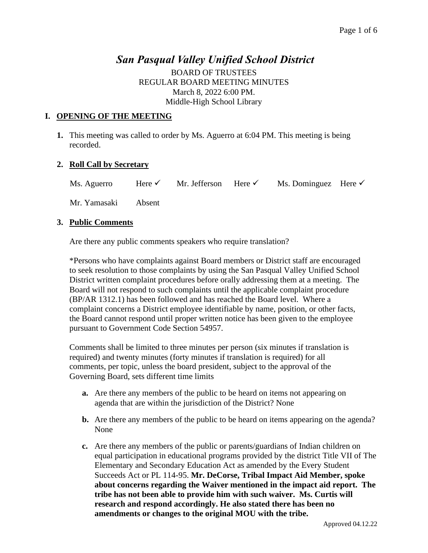# *San Pasqual Valley Unified School District*

BOARD OF TRUSTEES REGULAR BOARD MEETING MINUTES March 8, 2022 6:00 PM. Middle-High School Library

### **I. OPENING OF THE MEETING**

**1.** This meeting was called to order by Ms. Aguerro at 6:04 PM. This meeting is being recorded.

### **2. Roll Call by Secretary**

| Mr. Jefferson Here $\checkmark$<br>Ms. Aguerro<br>Here $\checkmark$ | Ms. Dominguez Here $\checkmark$ |  |
|---------------------------------------------------------------------|---------------------------------|--|
|---------------------------------------------------------------------|---------------------------------|--|

Mr. Yamasaki Absent

### **3. Public Comments**

Are there any public comments speakers who require translation?

\*Persons who have complaints against Board members or District staff are encouraged to seek resolution to those complaints by using the San Pasqual Valley Unified School District written complaint procedures before orally addressing them at a meeting. The Board will not respond to such complaints until the applicable complaint procedure (BP/AR 1312.1) has been followed and has reached the Board level. Where a complaint concerns a District employee identifiable by name, position, or other facts, the Board cannot respond until proper written notice has been given to the employee pursuant to Government Code Section 54957.

Comments shall be limited to three minutes per person (six minutes if translation is required) and twenty minutes (forty minutes if translation is required) for all comments, per topic, unless the board president, subject to the approval of the Governing Board, sets different time limits

- **a.** Are there any members of the public to be heard on items not appearing on agenda that are within the jurisdiction of the District? None
- **b.** Are there any members of the public to be heard on items appearing on the agenda? None
- **c.** Are there any members of the public or parents/guardians of Indian children on equal participation in educational programs provided by the district Title VII of The Elementary and Secondary Education Act as amended by the Every Student Succeeds Act or PL 114-95. **Mr. DeCorse, Tribal Impact Aid Member, spoke about concerns regarding the Waiver mentioned in the impact aid report. The tribe has not been able to provide him with such waiver. Ms. Curtis will research and respond accordingly. He also stated there has been no amendments or changes to the original MOU with the tribe.**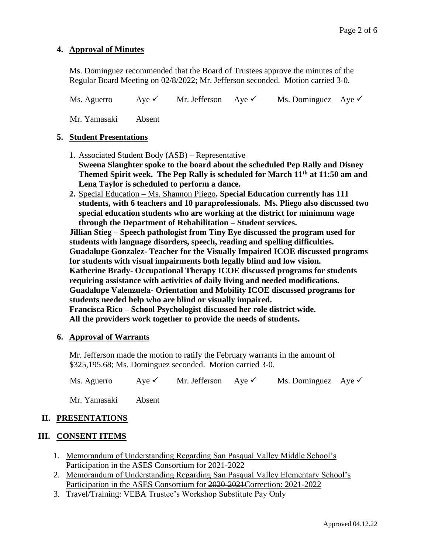### **4. Approval of Minutes**

Ms. Dominguez recommended that the Board of Trustees approve the minutes of the Regular Board Meeting on 02/8/2022; Mr. Jefferson seconded. Motion carried 3-0.

Ms. Aguerro Aye <del>V</del> Mr. Jefferson Aye V Ms. Dominguez Aye V

Mr. Yamasaki Absent

#### **5. Student Presentations**

- 1. Associated Student Body (ASB) Representative **Sweena Slaughter spoke to the board about the scheduled Pep Rally and Disney Themed Spirit week. The Pep Rally is scheduled for March 11th at 11:50 am and Lena Taylor is scheduled to perform a dance.**
- **2.** Special Education Ms. Shannon Pliego**. Special Education currently has 111 students, with 6 teachers and 10 paraprofessionals. Ms. Pliego also discussed two special education students who are working at the district for minimum wage through the Department of Rehabilitation – Student services.**

**Jillian Stieg – Speech pathologist from Tiny Eye discussed the program used for students with language disorders, speech, reading and spelling difficulties. Guadalupe Gonzalez- Teacher for the Visually Impaired ICOE discussed programs for students with visual impairments both legally blind and low vision. Katherine Brady- Occupational Therapy ICOE discussed programs for students requiring assistance with activities of daily living and needed modifications. Guadalupe Valenzuela- Orientation and Mobility ICOE discussed programs for students needed help who are blind or visually impaired. Francisca Rico – School Psychologist discussed her role district wide. All the providers work together to provide the needs of students.** 

#### **6. Approval of Warrants**

Mr. Jefferson made the motion to ratify the February warrants in the amount of \$325,195.68; Ms. Dominguez seconded. Motion carried 3-0.

Ms. Aguerro Aye <del>V</del> Mr. Jefferson Aye V Ms. Dominguez Aye V

Mr. Yamasaki Absent

# **II. PRESENTATIONS**

# **III. CONSENT ITEMS**

- 1. Memorandum of Understanding Regarding San Pasqual Valley Middle School's Participation in the ASES Consortium for 2021-2022
- 2. Memorandum of Understanding Regarding San Pasqual Valley Elementary School's Participation in the ASES Consortium for 2020-2021Correction: 2021-2022
- 3. Travel/Training: VEBA Trustee's Workshop Substitute Pay Only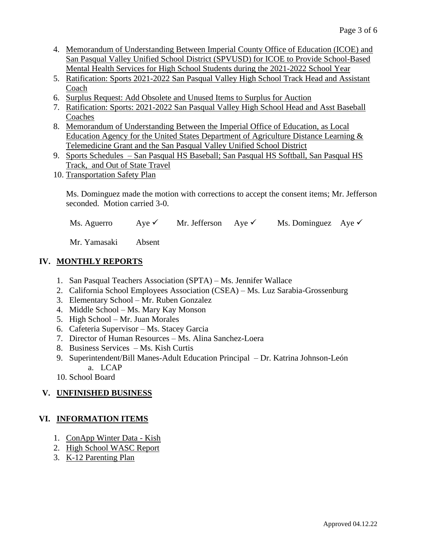- 4. Memorandum of Understanding Between Imperial County Office of Education (ICOE) and San Pasqual Valley Unified School District (SPVUSD) for ICOE to Provide School-Based Mental Health Services for High School Students during the 2021-2022 School Year
- 5. Ratification: Sports 2021-2022 San Pasqual Valley High School Track Head and Assistant Coach
- 6. Surplus Request: Add Obsolete and Unused Items to Surplus for Auction
- 7. Ratification: Sports: 2021-2022 San Pasqual Valley High School Head and Asst Baseball Coaches
- 8. Memorandum of Understanding Between the Imperial Office of Education, as Local Education Agency for the United States Department of Agriculture Distance Learning & Telemedicine Grant and the San Pasqual Valley Unified School District
- 9. Sports Schedules San Pasqual HS Baseball; San Pasqual HS Softball, San Pasqual HS Track, and Out of State Travel
- 10. Transportation Safety Plan

Ms. Dominguez made the motion with corrections to accept the consent items; Mr. Jefferson seconded. Motion carried 3-0.

Ms. Aguerro Aye <del>V</del> Mr. Jefferson Aye V Ms. Dominguez Aye V

Mr. Yamasaki Absent

# **IV. MONTHLY REPORTS**

- 1. San Pasqual Teachers Association (SPTA) Ms. Jennifer Wallace
- 2. California School Employees Association (CSEA) Ms. Luz Sarabia-Grossenburg
- 3. Elementary School Mr. Ruben Gonzalez
- 4. Middle School Ms. Mary Kay Monson
- 5. High School Mr. Juan Morales
- 6. Cafeteria Supervisor Ms. Stacey Garcia
- 7. Director of Human Resources Ms. Alina Sanchez-Loera
- 8. Business Services Ms. Kish Curtis
- 9. Superintendent/Bill Manes-Adult Education Principal Dr. Katrina Johnson-León a. LCAP
- 10. School Board

# **V. UNFINISHED BUSINESS**

# **VI. INFORMATION ITEMS**

- 1. ConApp Winter Data Kish
- 2. High School WASC Report
- 3. K-12 Parenting Plan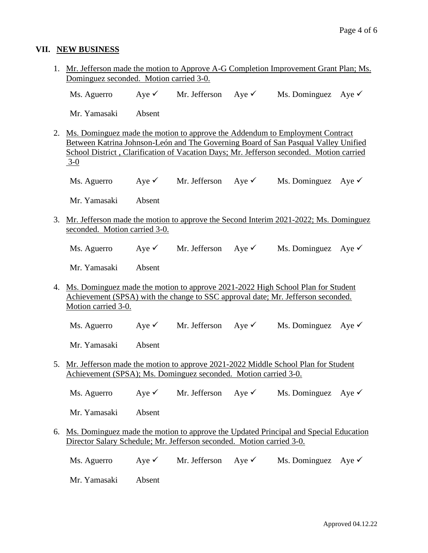### **VII. NEW BUSINESS**

1. Mr. Jefferson made the motion to Approve A-G Completion Improvement Grant Plan; Ms. Dominguez seconded. Motion carried 3-0.

Ms. Aguerro Aye  $\checkmark$  Mr. Jefferson Aye  $\checkmark$  Ms. Dominguez Aye  $\checkmark$ 

Mr. Yamasaki Absent

- 2. Ms. Dominguez made the motion to approve the Addendum to Employment Contract Between Katrina Johnson-León and The Governing Board of San Pasqual Valley Unified School District , Clarification of Vacation Days; Mr. Jefferson seconded. Motion carried 3-0
	- Ms. Aguerro Aye  $\checkmark$  Mr. Jefferson Aye  $\checkmark$  Ms. Dominguez Aye  $\checkmark$

Mr. Yamasaki Absent

- 3. Mr. Jefferson made the motion to approve the Second Interim 2021-2022; Ms. Dominguez seconded. Motion carried 3-0.
	- Ms. Aguerro Aye <del>V</del> Mr. Jefferson Aye V Ms. Dominguez Aye V

Mr. Yamasaki Absent

4. Ms. Dominguez made the motion to approve 2021-2022 High School Plan for Student Achievement (SPSA) with the change to SSC approval date; Mr. Jefferson seconded. Motion carried 3-0.

Ms. Aguerro Aye  $\checkmark$  Mr. Jefferson Aye  $\checkmark$  Ms. Dominguez Aye  $\checkmark$ 

Mr. Yamasaki Absent

5. Mr. Jefferson made the motion to approve 2021-2022 Middle School Plan for Student Achievement (SPSA); Ms. Dominguez seconded. Motion carried 3-0.

Ms. Aguerro Aye  $\checkmark$  Mr. Jefferson Aye  $\checkmark$  Ms. Dominguez Aye  $\checkmark$ 

Mr. Yamasaki Absent

- 6. Ms. Dominguez made the motion to approve the Updated Principal and Special Education Director Salary Schedule; Mr. Jefferson seconded. Motion carried 3-0.
	- Ms. Aguerro Aye <del>V</del> Mr. Jefferson Aye V Ms. Dominguez Aye V

Mr. Yamasaki Absent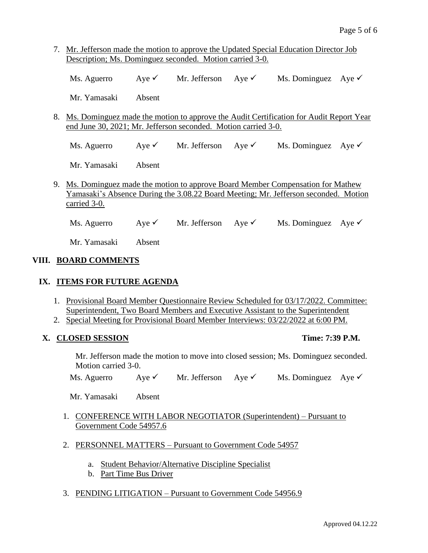7. Mr. Jefferson made the motion to approve the Updated Special Education Director Job Description; Ms. Dominguez seconded. Motion carried 3-0.

|  | Ms. Aguerro | Ave $\checkmark$ | Mr. Jefferson | Ave $\checkmark$ | Ms. Dominguez Aye $\checkmark$ |  |
|--|-------------|------------------|---------------|------------------|--------------------------------|--|
|--|-------------|------------------|---------------|------------------|--------------------------------|--|

Mr. Yamasaki Absent

8. Ms. Dominguez made the motion to approve the Audit Certification for Audit Report Year end June 30, 2021; Mr. Jefferson seconded. Motion carried 3-0.

Ms. Aguerro Aye <del>V</del> Mr. Jefferson Aye V Ms. Dominguez Aye V

Mr. Yamasaki Absent

9. Ms. Dominguez made the motion to approve Board Member Compensation for Mathew Yamasaki's Absence During the 3.08.22 Board Meeting; Mr. Jefferson seconded. Motion carried 3-0.

Ms. Aguerro Aye <del>V</del> Mr. Jefferson Aye V Ms. Dominguez Aye V

Mr. Yamasaki Absent

# **VIII. BOARD COMMENTS**

# **IX. ITEMS FOR FUTURE AGENDA**

- 1. Provisional Board Member Questionnaire Review Scheduled for 03/17/2022. Committee: Superintendent, Two Board Members and Executive Assistant to the Superintendent
- 2. Special Meeting for Provisional Board Member Interviews: 03/22/2022 at 6:00 PM.

# **X. CLOSED SESSION Time: 7:39 P.M.**

Mr. Jefferson made the motion to move into closed session; Ms. Dominguez seconded. Motion carried 3-0.

Ms. Aguerro Aye  $\checkmark$  Mr. Jefferson Aye  $\checkmark$  Ms. Dominguez Aye  $\checkmark$ 

Mr. Yamasaki Absent

- 1. CONFERENCE WITH LABOR NEGOTIATOR (Superintendent) Pursuant to Government Code 54957.6
- 2. PERSONNEL MATTERS Pursuant to Government Code 54957
	- a. Student Behavior/Alternative Discipline Specialist
	- b. Part Time Bus Driver
- 3. PENDING LITIGATION Pursuant to Government Code 54956.9